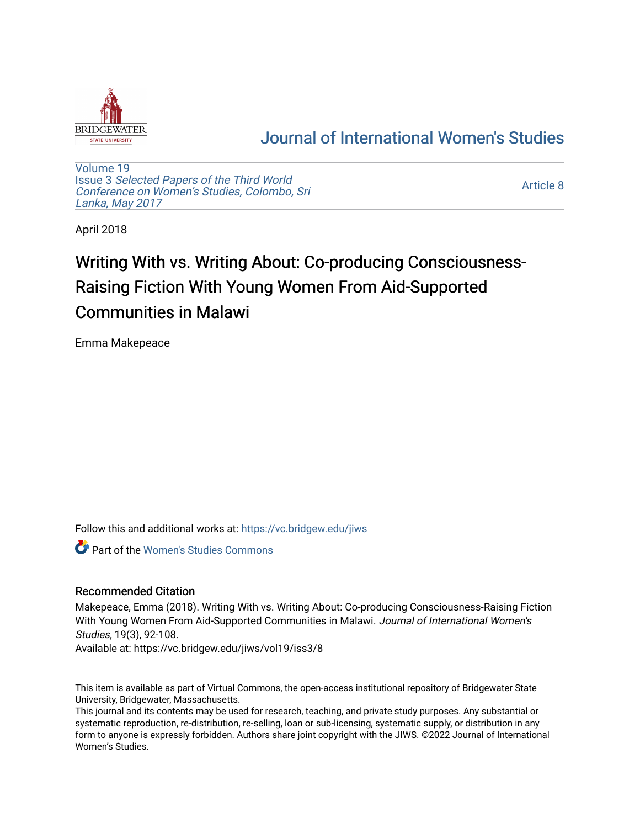

## [Journal of International Women's Studies](https://vc.bridgew.edu/jiws)

[Volume 19](https://vc.bridgew.edu/jiws/vol19) Issue 3 [Selected Papers of the Third World](https://vc.bridgew.edu/jiws/vol19/iss3) [Conference on Women's Studies, Colombo, Sri](https://vc.bridgew.edu/jiws/vol19/iss3)  [Lanka, May 2017](https://vc.bridgew.edu/jiws/vol19/iss3) 

[Article 8](https://vc.bridgew.edu/jiws/vol19/iss3/8) 

April 2018

# Writing With vs. Writing About: Co-producing Consciousness-Raising Fiction With Young Women From Aid-Supported Communities in Malawi

Emma Makepeace

Follow this and additional works at: [https://vc.bridgew.edu/jiws](https://vc.bridgew.edu/jiws?utm_source=vc.bridgew.edu%2Fjiws%2Fvol19%2Fiss3%2F8&utm_medium=PDF&utm_campaign=PDFCoverPages)

**C** Part of the Women's Studies Commons

## Recommended Citation

Makepeace, Emma (2018). Writing With vs. Writing About: Co-producing Consciousness-Raising Fiction With Young Women From Aid-Supported Communities in Malawi. Journal of International Women's Studies, 19(3), 92-108.

Available at: https://vc.bridgew.edu/jiws/vol19/iss3/8

This item is available as part of Virtual Commons, the open-access institutional repository of Bridgewater State University, Bridgewater, Massachusetts.

This journal and its contents may be used for research, teaching, and private study purposes. Any substantial or systematic reproduction, re-distribution, re-selling, loan or sub-licensing, systematic supply, or distribution in any form to anyone is expressly forbidden. Authors share joint copyright with the JIWS. ©2022 Journal of International Women's Studies.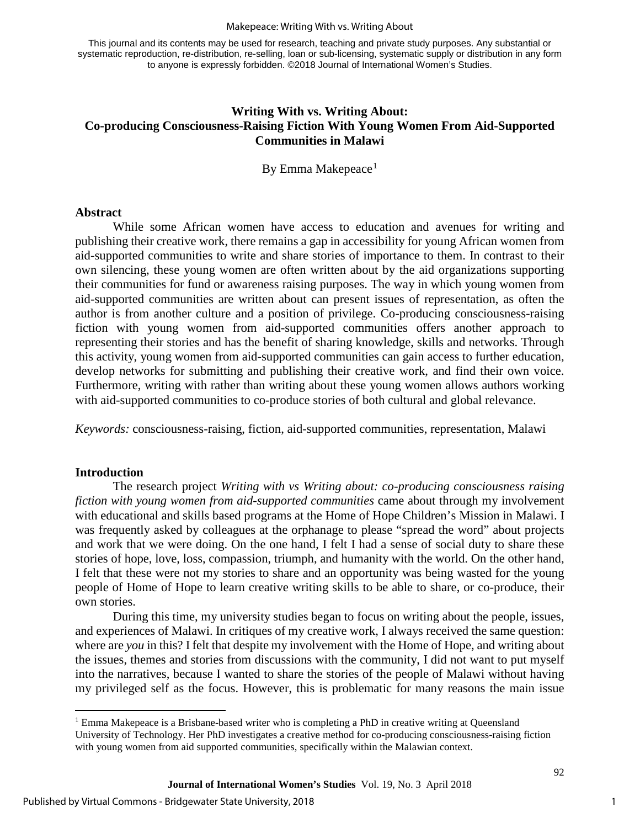#### Makepeace: Writing With vs. Writing About

This journal and its contents may be used for research, teaching and private study purposes. Any substantial or systematic reproduction, re-distribution, re-selling, loan or sub-licensing, systematic supply or distribution in any form to anyone is expressly forbidden. ©2018 Journal of International Women's Studies.

## **Writing With vs. Writing About: Co-producing Consciousness-Raising Fiction With Young Women From Aid-Supported Communities in Malawi**

By Emma Makepeace<sup>[1](#page-1-0)</sup>

#### **Abstract**

While some African women have access to education and avenues for writing and publishing their creative work, there remains a gap in accessibility for young African women from aid-supported communities to write and share stories of importance to them. In contrast to their own silencing, these young women are often written about by the aid organizations supporting their communities for fund or awareness raising purposes. The way in which young women from aid-supported communities are written about can present issues of representation, as often the author is from another culture and a position of privilege. Co-producing consciousness-raising fiction with young women from aid-supported communities offers another approach to representing their stories and has the benefit of sharing knowledge, skills and networks. Through this activity, young women from aid-supported communities can gain access to further education, develop networks for submitting and publishing their creative work, and find their own voice. Furthermore, writing with rather than writing about these young women allows authors working with aid-supported communities to co-produce stories of both cultural and global relevance.

*Keywords:* consciousness-raising, fiction, aid-supported communities, representation, Malawi

### **Introduction**

 $\overline{a}$ 

The research project *Writing with vs Writing about: co-producing consciousness raising fiction with young women from aid-supported communities* came about through my involvement with educational and skills based programs at the Home of Hope Children's Mission in Malawi. I was frequently asked by colleagues at the orphanage to please "spread the word" about projects and work that we were doing. On the one hand, I felt I had a sense of social duty to share these stories of hope, love, loss, compassion, triumph, and humanity with the world. On the other hand, I felt that these were not my stories to share and an opportunity was being wasted for the young people of Home of Hope to learn creative writing skills to be able to share, or co-produce, their own stories.

During this time, my university studies began to focus on writing about the people, issues, and experiences of Malawi. In critiques of my creative work, I always received the same question: where are *you* in this? I felt that despite my involvement with the Home of Hope, and writing about the issues, themes and stories from discussions with the community, I did not want to put myself into the narratives, because I wanted to share the stories of the people of Malawi without having my privileged self as the focus. However, this is problematic for many reasons the main issue

1

<span id="page-1-0"></span> $<sup>1</sup>$  Emma Makepeace is a Brisbane-based writer who is completing a PhD in creative writing at Queensland</sup> University of Technology. Her PhD investigates a creative method for co-producing consciousness-raising fiction with young women from aid supported communities, specifically within the Malawian context.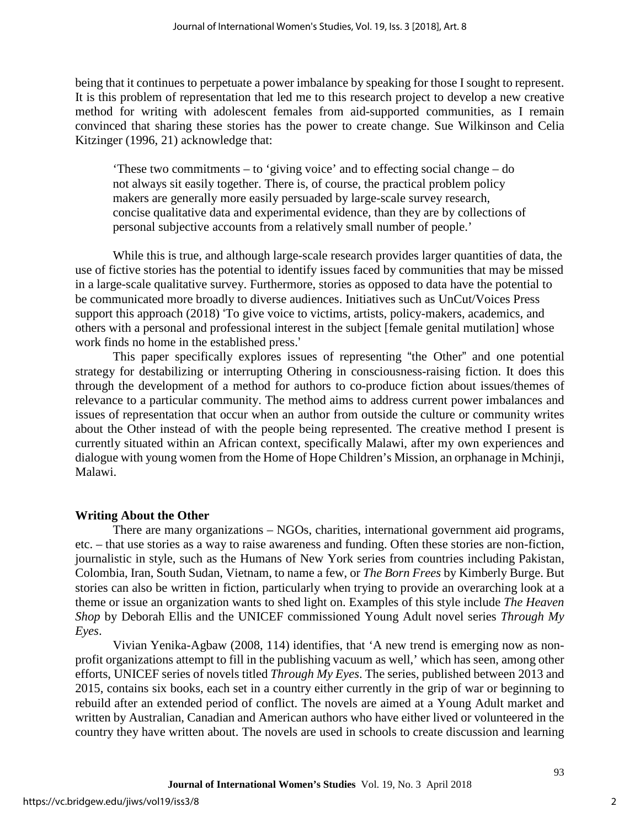being that it continues to perpetuate a power imbalance by speaking for those I sought to represent. It is this problem of representation that led me to this research project to develop a new creative method for writing with adolescent females from aid-supported communities, as I remain convinced that sharing these stories has the power to create change. Sue Wilkinson and Celia Kitzinger (1996, 21) acknowledge that:

'These two commitments – to 'giving voice' and to effecting social change – do not always sit easily together. There is, of course, the practical problem policy makers are generally more easily persuaded by large-scale survey research, concise qualitative data and experimental evidence, than they are by collections of personal subjective accounts from a relatively small number of people.'

While this is true, and although large-scale research provides larger quantities of data, the use of fictive stories has the potential to identify issues faced by communities that may be missed in a large-scale qualitative survey. Furthermore, stories as opposed to data have the potential to be communicated more broadly to diverse audiences. Initiatives such as UnCut/Voices Press support this approach (2018) 'To give voice to victims, artists, policy-makers, academics, and others with a personal and professional interest in the subject [female genital mutilation] whose work finds no home in the established press.'

This paper specifically explores issues of representing "the Other" and one potential strategy for destabilizing or interrupting Othering in consciousness-raising fiction. It does this through the development of a method for authors to co-produce fiction about issues/themes of relevance to a particular community. The method aims to address current power imbalances and issues of representation that occur when an author from outside the culture or community writes about the Other instead of with the people being represented. The creative method I present is currently situated within an African context, specifically Malawi, after my own experiences and dialogue with young women from the Home of Hope Children's Mission, an orphanage in Mchinji, Malawi.

### **Writing About the Other**

There are many organizations – NGOs, charities, international government aid programs, etc. – that use stories as a way to raise awareness and funding. Often these stories are non-fiction, journalistic in style, such as the Humans of New York series from countries including Pakistan, Colombia, Iran, South Sudan, Vietnam, to name a few, or *The Born Frees* by Kimberly Burge. But stories can also be written in fiction, particularly when trying to provide an overarching look at a theme or issue an organization wants to shed light on. Examples of this style include *The Heaven Shop* by Deborah Ellis and the UNICEF commissioned Young Adult novel series *Through My Eyes*.

Vivian Yenika-Agbaw (2008, 114) identifies, that 'A new trend is emerging now as nonprofit organizations attempt to fill in the publishing vacuum as well,' which has seen, among other efforts, UNICEF series of novels titled *Through My Eyes*. The series, published between 2013 and 2015, contains six books, each set in a country either currently in the grip of war or beginning to rebuild after an extended period of conflict. The novels are aimed at a Young Adult market and written by Australian, Canadian and American authors who have either lived or volunteered in the country they have written about. The novels are used in schools to create discussion and learning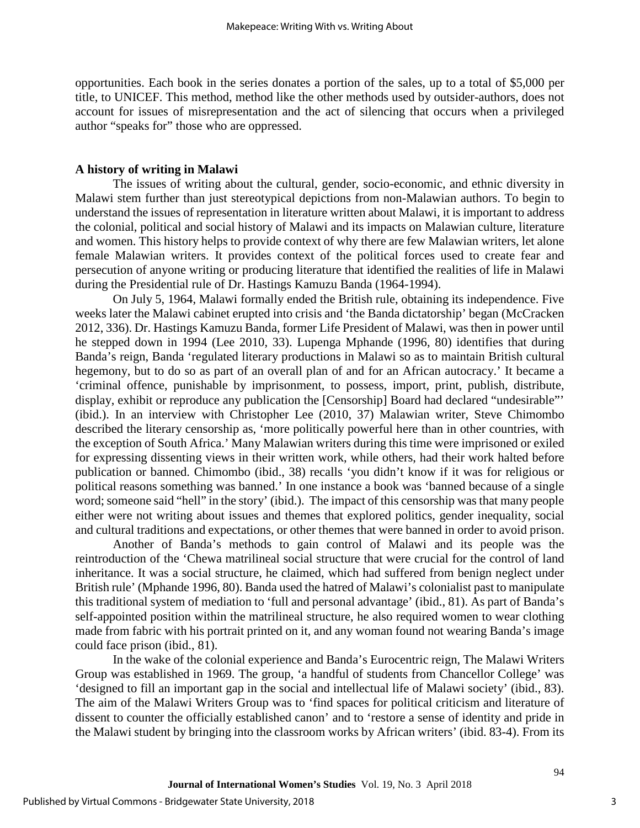opportunities. Each book in the series donates a portion of the sales, up to a total of \$5,000 per title, to UNICEF. This method, method like the other methods used by outsider-authors, does not account for issues of misrepresentation and the act of silencing that occurs when a privileged author "speaks for" those who are oppressed.

### **A history of writing in Malawi**

The issues of writing about the cultural, gender, socio-economic, and ethnic diversity in Malawi stem further than just stereotypical depictions from non-Malawian authors. To begin to understand the issues of representation in literature written about Malawi, it is important to address the colonial, political and social history of Malawi and its impacts on Malawian culture, literature and women. This history helps to provide context of why there are few Malawian writers, let alone female Malawian writers. It provides context of the political forces used to create fear and persecution of anyone writing or producing literature that identified the realities of life in Malawi during the Presidential rule of Dr. Hastings Kamuzu Banda (1964-1994).

On July 5, 1964, Malawi formally ended the British rule, obtaining its independence. Five weeks later the Malawi cabinet erupted into crisis and 'the Banda dictatorship' began (McCracken 2012, 336). Dr. Hastings Kamuzu Banda, former Life President of Malawi, was then in power until he stepped down in 1994 (Lee 2010, 33). Lupenga Mphande (1996, 80) identifies that during Banda's reign, Banda 'regulated literary productions in Malawi so as to maintain British cultural hegemony, but to do so as part of an overall plan of and for an African autocracy.' It became a 'criminal offence, punishable by imprisonment, to possess, import, print, publish, distribute, display, exhibit or reproduce any publication the [Censorship] Board had declared "undesirable"' (ibid.). In an interview with Christopher Lee (2010, 37) Malawian writer, Steve Chimombo described the literary censorship as, 'more politically powerful here than in other countries, with the exception of South Africa.' Many Malawian writers during this time were imprisoned or exiled for expressing dissenting views in their written work, while others, had their work halted before publication or banned. Chimombo (ibid., 38) recalls 'you didn't know if it was for religious or political reasons something was banned.' In one instance a book was 'banned because of a single word; someone said "hell" in the story' (ibid.). The impact of this censorship was that many people either were not writing about issues and themes that explored politics, gender inequality, social and cultural traditions and expectations, or other themes that were banned in order to avoid prison.

Another of Banda's methods to gain control of Malawi and its people was the reintroduction of the 'Chewa matrilineal social structure that were crucial for the control of land inheritance. It was a social structure, he claimed, which had suffered from benign neglect under British rule' (Mphande 1996, 80). Banda used the hatred of Malawi's colonialist past to manipulate this traditional system of mediation to 'full and personal advantage' (ibid., 81). As part of Banda's self-appointed position within the matrilineal structure, he also required women to wear clothing made from fabric with his portrait printed on it, and any woman found not wearing Banda's image could face prison (ibid., 81).

In the wake of the colonial experience and Banda's Eurocentric reign, The Malawi Writers Group was established in 1969. The group, 'a handful of students from Chancellor College' was 'designed to fill an important gap in the social and intellectual life of Malawi society' (ibid., 83). The aim of the Malawi Writers Group was to 'find spaces for political criticism and literature of dissent to counter the officially established canon' and to 'restore a sense of identity and pride in the Malawi student by bringing into the classroom works by African writers' (ibid. 83-4). From its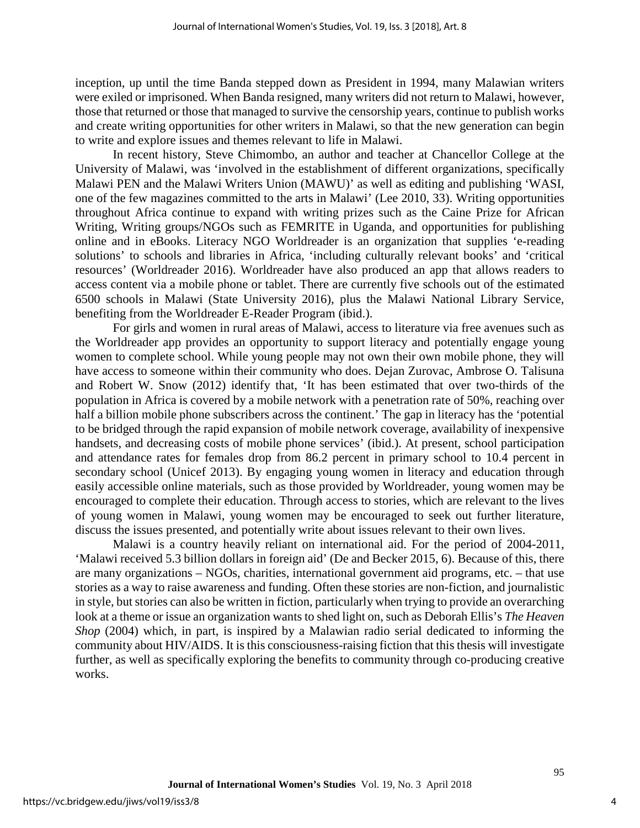inception, up until the time Banda stepped down as President in 1994, many Malawian writers were exiled or imprisoned. When Banda resigned, many writers did not return to Malawi, however, those that returned or those that managed to survive the censorship years, continue to publish works and create writing opportunities for other writers in Malawi, so that the new generation can begin to write and explore issues and themes relevant to life in Malawi.

In recent history, Steve Chimombo, an author and teacher at Chancellor College at the University of Malawi, was 'involved in the establishment of different organizations, specifically Malawi PEN and the Malawi Writers Union (MAWU)' as well as editing and publishing 'WASI, one of the few magazines committed to the arts in Malawi' (Lee 2010, 33). Writing opportunities throughout Africa continue to expand with writing prizes such as the Caine Prize for African Writing, Writing groups/NGOs such as FEMRITE in Uganda, and opportunities for publishing online and in eBooks. Literacy NGO Worldreader is an organization that supplies 'e-reading solutions' to schools and libraries in Africa, 'including culturally relevant books' and 'critical resources' (Worldreader 2016). Worldreader have also produced an app that allows readers to access content via a mobile phone or tablet. There are currently five schools out of the estimated 6500 schools in Malawi (State University 2016), plus the Malawi National Library Service, benefiting from the Worldreader E-Reader Program (ibid.).

For girls and women in rural areas of Malawi, access to literature via free avenues such as the Worldreader app provides an opportunity to support literacy and potentially engage young women to complete school. While young people may not own their own mobile phone, they will have access to someone within their community who does. Dejan Zurovac, Ambrose O. Talisuna and Robert W. Snow (2012) identify that, 'It has been estimated that over two-thirds of the population in Africa is covered by a mobile network with a penetration rate of 50%, reaching over half a billion mobile phone subscribers across the continent.' The gap in literacy has the 'potential to be bridged through the rapid expansion of mobile network coverage, availability of inexpensive handsets, and decreasing costs of mobile phone services' (ibid.). At present, school participation and attendance rates for females drop from 86.2 percent in primary school to 10.4 percent in secondary school (Unicef 2013). By engaging young women in literacy and education through easily accessible online materials, such as those provided by Worldreader, young women may be encouraged to complete their education. Through access to stories, which are relevant to the lives of young women in Malawi, young women may be encouraged to seek out further literature, discuss the issues presented, and potentially write about issues relevant to their own lives.

Malawi is a country heavily reliant on international aid. For the period of 2004-2011, 'Malawi received 5.3 billion dollars in foreign aid' (De and Becker 2015, 6). Because of this, there are many organizations – NGOs, charities, international government aid programs, etc. – that use stories as a way to raise awareness and funding. Often these stories are non-fiction, and journalistic in style, but stories can also be written in fiction, particularly when trying to provide an overarching look at a theme or issue an organization wants to shed light on, such as Deborah Ellis's *The Heaven Shop* (2004) which, in part, is inspired by a Malawian radio serial dedicated to informing the community about HIV/AIDS. It is this consciousness-raising fiction that this thesis will investigate further, as well as specifically exploring the benefits to community through co-producing creative works.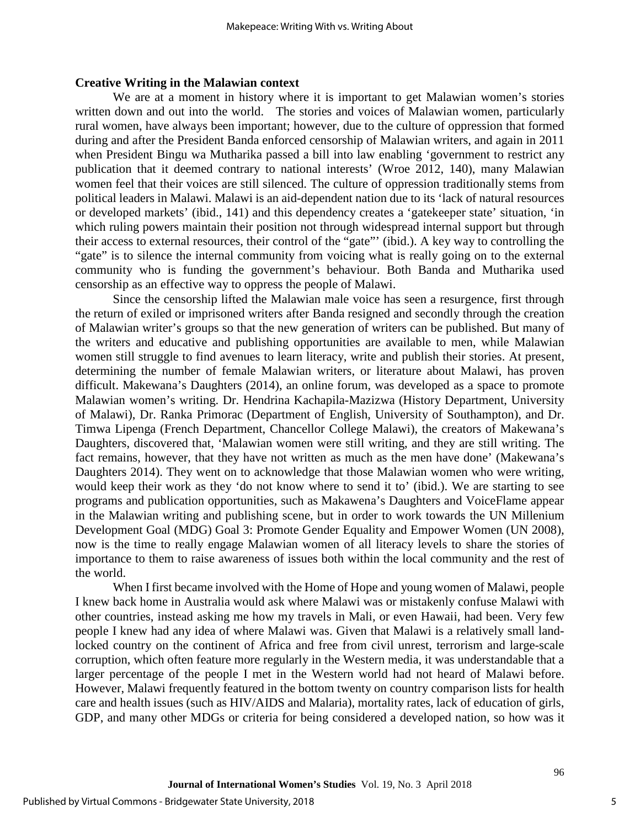#### **Creative Writing in the Malawian context**

We are at a moment in history where it is important to get Malawian women's stories written down and out into the world. The stories and voices of Malawian women, particularly rural women, have always been important; however, due to the culture of oppression that formed during and after the President Banda enforced censorship of Malawian writers, and again in 2011 when President Bingu wa Mutharika passed a bill into law enabling 'government to restrict any publication that it deemed contrary to national interests' (Wroe 2012, 140), many Malawian women feel that their voices are still silenced. The culture of oppression traditionally stems from political leaders in Malawi. Malawi is an aid-dependent nation due to its 'lack of natural resources or developed markets' (ibid., 141) and this dependency creates a 'gatekeeper state' situation, 'in which ruling powers maintain their position not through widespread internal support but through their access to external resources, their control of the "gate"' (ibid.). A key way to controlling the "gate" is to silence the internal community from voicing what is really going on to the external community who is funding the government's behaviour. Both Banda and Mutharika used censorship as an effective way to oppress the people of Malawi.

Since the censorship lifted the Malawian male voice has seen a resurgence, first through the return of exiled or imprisoned writers after Banda resigned and secondly through the creation of Malawian writer's groups so that the new generation of writers can be published. But many of the writers and educative and publishing opportunities are available to men, while Malawian women still struggle to find avenues to learn literacy, write and publish their stories. At present, determining the number of female Malawian writers, or literature about Malawi, has proven difficult. Makewana's Daughters (2014), an online forum, was developed as a space to promote Malawian women's writing. Dr. Hendrina Kachapila-Mazizwa (History Department, University of Malawi), Dr. Ranka Primorac (Department of English, University of Southampton), and Dr. Timwa Lipenga (French Department, Chancellor College Malawi), the creators of Makewana's Daughters, discovered that, 'Malawian women were still writing, and they are still writing. The fact remains, however, that they have not written as much as the men have done' (Makewana's Daughters 2014). They went on to acknowledge that those Malawian women who were writing, would keep their work as they 'do not know where to send it to' (ibid.). We are starting to see programs and publication opportunities, such as Makawena's Daughters and VoiceFlame appear in the Malawian writing and publishing scene, but in order to work towards the UN Millenium Development Goal (MDG) Goal 3: Promote Gender Equality and Empower Women (UN 2008), now is the time to really engage Malawian women of all literacy levels to share the stories of importance to them to raise awareness of issues both within the local community and the rest of the world.

When I first became involved with the Home of Hope and young women of Malawi, people I knew back home in Australia would ask where Malawi was or mistakenly confuse Malawi with other countries, instead asking me how my travels in Mali, or even Hawaii, had been. Very few people I knew had any idea of where Malawi was. Given that Malawi is a relatively small landlocked country on the continent of Africa and free from civil unrest, terrorism and large-scale corruption, which often feature more regularly in the Western media, it was understandable that a larger percentage of the people I met in the Western world had not heard of Malawi before. However, Malawi frequently featured in the bottom twenty on country comparison lists for health care and health issues (such as HIV/AIDS and Malaria), mortality rates, lack of education of girls, GDP, and many other MDGs or criteria for being considered a developed nation, so how was it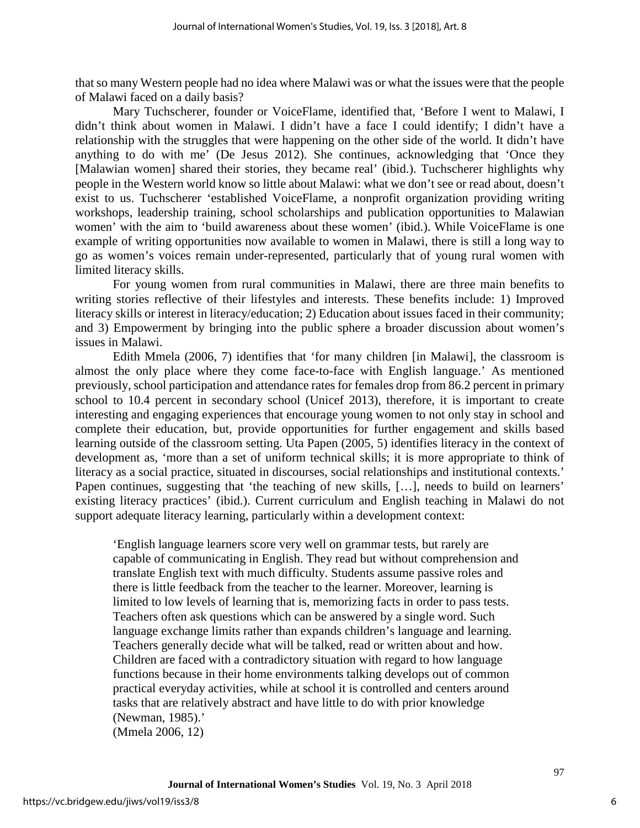that so many Western people had no idea where Malawi was or what the issues were that the people of Malawi faced on a daily basis?

Mary Tuchscherer, founder or VoiceFlame, identified that, 'Before I went to Malawi, I didn't think about women in Malawi. I didn't have a face I could identify; I didn't have a relationship with the struggles that were happening on the other side of the world. It didn't have anything to do with me' (De Jesus 2012). She continues, acknowledging that 'Once they [Malawian women] shared their stories, they became real' (ibid.). Tuchscherer highlights why people in the Western world know so little about Malawi: what we don't see or read about, doesn't exist to us. Tuchscherer 'established VoiceFlame, a nonprofit organization providing writing workshops, leadership training, school scholarships and publication opportunities to Malawian women' with the aim to 'build awareness about these women' (ibid.). While VoiceFlame is one example of writing opportunities now available to women in Malawi, there is still a long way to go as women's voices remain under-represented, particularly that of young rural women with limited literacy skills.

For young women from rural communities in Malawi, there are three main benefits to writing stories reflective of their lifestyles and interests. These benefits include: 1) Improved literacy skills or interest in literacy/education; 2) Education about issues faced in their community; and 3) Empowerment by bringing into the public sphere a broader discussion about women's issues in Malawi.

Edith Mmela (2006, 7) identifies that 'for many children [in Malawi], the classroom is almost the only place where they come face-to-face with English language.' As mentioned previously, school participation and attendance rates for females drop from 86.2 percent in primary school to 10.4 percent in secondary school (Unicef 2013), therefore, it is important to create interesting and engaging experiences that encourage young women to not only stay in school and complete their education, but, provide opportunities for further engagement and skills based learning outside of the classroom setting. Uta Papen (2005, 5) identifies literacy in the context of development as, 'more than a set of uniform technical skills; it is more appropriate to think of literacy as a social practice, situated in discourses, social relationships and institutional contexts.' Papen continues, suggesting that 'the teaching of new skills, [...], needs to build on learners' existing literacy practices' (ibid.). Current curriculum and English teaching in Malawi do not support adequate literacy learning, particularly within a development context:

'English language learners score very well on grammar tests, but rarely are capable of communicating in English. They read but without comprehension and translate English text with much difficulty. Students assume passive roles and there is little feedback from the teacher to the learner. Moreover, learning is limited to low levels of learning that is, memorizing facts in order to pass tests. Teachers often ask questions which can be answered by a single word. Such language exchange limits rather than expands children's language and learning. Teachers generally decide what will be talked, read or written about and how. Children are faced with a contradictory situation with regard to how language functions because in their home environments talking develops out of common practical everyday activities, while at school it is controlled and centers around tasks that are relatively abstract and have little to do with prior knowledge (Newman, 1985).'

(Mmela 2006, 12)

6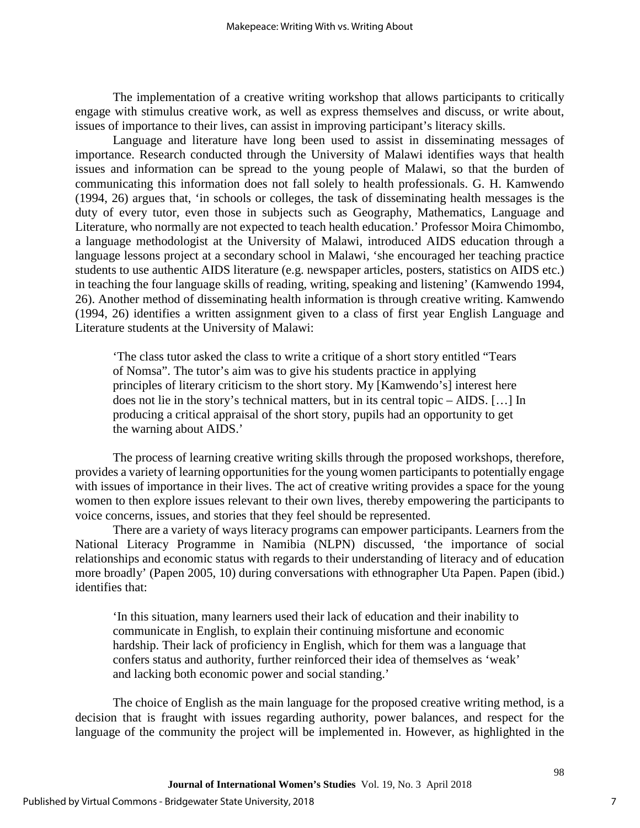The implementation of a creative writing workshop that allows participants to critically engage with stimulus creative work, as well as express themselves and discuss, or write about, issues of importance to their lives, can assist in improving participant's literacy skills.

Language and literature have long been used to assist in disseminating messages of importance. Research conducted through the University of Malawi identifies ways that health issues and information can be spread to the young people of Malawi, so that the burden of communicating this information does not fall solely to health professionals. G. H. Kamwendo (1994, 26) argues that, 'in schools or colleges, the task of disseminating health messages is the duty of every tutor, even those in subjects such as Geography, Mathematics, Language and Literature, who normally are not expected to teach health education.' Professor Moira Chimombo, a language methodologist at the University of Malawi, introduced AIDS education through a language lessons project at a secondary school in Malawi, 'she encouraged her teaching practice students to use authentic AIDS literature (e.g. newspaper articles, posters, statistics on AIDS etc.) in teaching the four language skills of reading, writing, speaking and listening' (Kamwendo 1994, 26). Another method of disseminating health information is through creative writing. Kamwendo (1994, 26) identifies a written assignment given to a class of first year English Language and Literature students at the University of Malawi:

'The class tutor asked the class to write a critique of a short story entitled "Tears of Nomsa". The tutor's aim was to give his students practice in applying principles of literary criticism to the short story. My [Kamwendo's] interest here does not lie in the story's technical matters, but in its central topic – AIDS. […] In producing a critical appraisal of the short story, pupils had an opportunity to get the warning about AIDS.'

The process of learning creative writing skills through the proposed workshops, therefore, provides a variety of learning opportunities for the young women participants to potentially engage with issues of importance in their lives. The act of creative writing provides a space for the young women to then explore issues relevant to their own lives, thereby empowering the participants to voice concerns, issues, and stories that they feel should be represented.

There are a variety of ways literacy programs can empower participants. Learners from the National Literacy Programme in Namibia (NLPN) discussed, 'the importance of social relationships and economic status with regards to their understanding of literacy and of education more broadly' (Papen 2005, 10) during conversations with ethnographer Uta Papen. Papen (ibid.) identifies that:

'In this situation, many learners used their lack of education and their inability to communicate in English, to explain their continuing misfortune and economic hardship. Their lack of proficiency in English, which for them was a language that confers status and authority, further reinforced their idea of themselves as 'weak' and lacking both economic power and social standing.'

The choice of English as the main language for the proposed creative writing method, is a decision that is fraught with issues regarding authority, power balances, and respect for the language of the community the project will be implemented in. However, as highlighted in the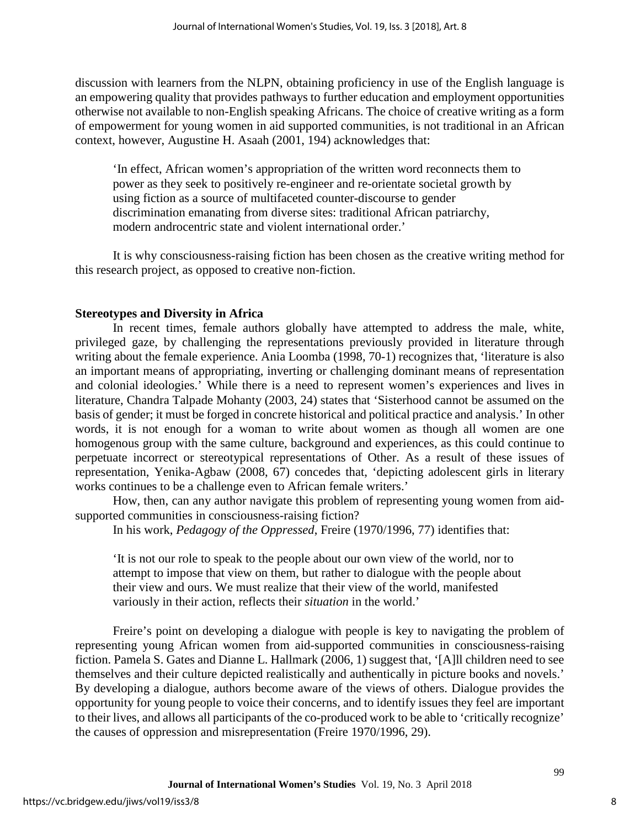discussion with learners from the NLPN, obtaining proficiency in use of the English language is an empowering quality that provides pathways to further education and employment opportunities otherwise not available to non-English speaking Africans. The choice of creative writing as a form of empowerment for young women in aid supported communities, is not traditional in an African context, however, Augustine H. Asaah (2001, 194) acknowledges that:

'In effect, African women's appropriation of the written word reconnects them to power as they seek to positively re-engineer and re-orientate societal growth by using fiction as a source of multifaceted counter-discourse to gender discrimination emanating from diverse sites: traditional African patriarchy, modern androcentric state and violent international order.'

It is why consciousness-raising fiction has been chosen as the creative writing method for this research project, as opposed to creative non-fiction.

## **Stereotypes and Diversity in Africa**

In recent times, female authors globally have attempted to address the male, white, privileged gaze, by challenging the representations previously provided in literature through writing about the female experience. Ania Loomba (1998, 70-1) recognizes that, 'literature is also an important means of appropriating, inverting or challenging dominant means of representation and colonial ideologies.' While there is a need to represent women's experiences and lives in literature, Chandra Talpade Mohanty (2003, 24) states that 'Sisterhood cannot be assumed on the basis of gender; it must be forged in concrete historical and political practice and analysis.' In other words, it is not enough for a woman to write about women as though all women are one homogenous group with the same culture, background and experiences, as this could continue to perpetuate incorrect or stereotypical representations of Other. As a result of these issues of representation, Yenika-Agbaw (2008, 67) concedes that, 'depicting adolescent girls in literary works continues to be a challenge even to African female writers.'

How, then, can any author navigate this problem of representing young women from aidsupported communities in consciousness-raising fiction?

In his work, *Pedagogy of the Oppressed*, Freire (1970/1996, 77) identifies that:

'It is not our role to speak to the people about our own view of the world, nor to attempt to impose that view on them, but rather to dialogue with the people about their view and ours. We must realize that their view of the world, manifested variously in their action, reflects their *situation* in the world.'

Freire's point on developing a dialogue with people is key to navigating the problem of representing young African women from aid-supported communities in consciousness-raising fiction. Pamela S. Gates and Dianne L. Hallmark (2006, 1) suggest that, '[A]ll children need to see themselves and their culture depicted realistically and authentically in picture books and novels.' By developing a dialogue, authors become aware of the views of others. Dialogue provides the opportunity for young people to voice their concerns, and to identify issues they feel are important to their lives, and allows all participants of the co-produced work to be able to 'critically recognize' the causes of oppression and misrepresentation (Freire 1970/1996, 29).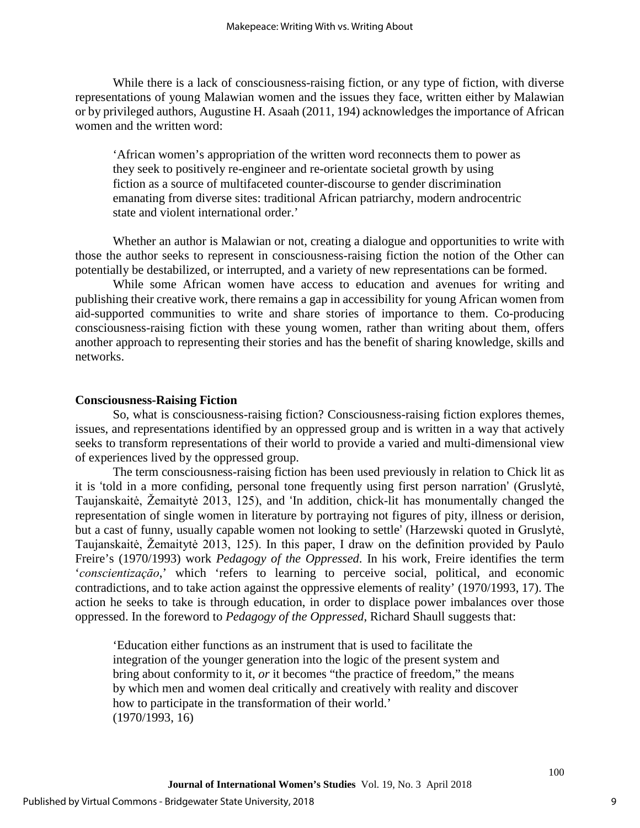While there is a lack of consciousness-raising fiction, or any type of fiction, with diverse representations of young Malawian women and the issues they face, written either by Malawian or by privileged authors, Augustine H. Asaah (2011, 194) acknowledges the importance of African women and the written word:

'African women's appropriation of the written word reconnects them to power as they seek to positively re-engineer and re-orientate societal growth by using fiction as a source of multifaceted counter-discourse to gender discrimination emanating from diverse sites: traditional African patriarchy, modern androcentric state and violent international order.'

Whether an author is Malawian or not, creating a dialogue and opportunities to write with those the author seeks to represent in consciousness-raising fiction the notion of the Other can potentially be destabilized, or interrupted, and a variety of new representations can be formed.

While some African women have access to education and avenues for writing and publishing their creative work, there remains a gap in accessibility for young African women from aid-supported communities to write and share stories of importance to them. Co-producing consciousness-raising fiction with these young women, rather than writing about them, offers another approach to representing their stories and has the benefit of sharing knowledge, skills and networks.

## **Consciousness-Raising Fiction**

So, what is consciousness-raising fiction? Consciousness-raising fiction explores themes, issues, and representations identified by an oppressed group and is written in a way that actively seeks to transform representations of their world to provide a varied and multi-dimensional view of experiences lived by the oppressed group.

The term consciousness-raising fiction has been used previously in relation to Chick lit as it is 'told in a more confiding, personal tone frequently using first person narration' (Gruslytė, Taujanskaitė, Žemaitytė 2013, 125), and 'In addition, chick-lit has monumentally changed the representation of single women in literature by portraying not figures of pity, illness or derision, but a cast of funny, usually capable women not looking to settle' (Harzewski quoted in Gruslytė, Taujanskaitė, Žemaitytė 2013, 125). In this paper, I draw on the definition provided by Paulo Freire's (1970/1993) work *Pedagogy of the Oppressed*. In his work, Freire identifies the term '*conscientizaçāo*,' which 'refers to learning to perceive social, political, and economic contradictions, and to take action against the oppressive elements of reality' (1970/1993, 17). The action he seeks to take is through education, in order to displace power imbalances over those oppressed. In the foreword to *Pedagogy of the Oppressed*, Richard Shaull suggests that:

'Education either functions as an instrument that is used to facilitate the integration of the younger generation into the logic of the present system and bring about conformity to it, *or* it becomes "the practice of freedom," the means by which men and women deal critically and creatively with reality and discover how to participate in the transformation of their world.' (1970/1993, 16)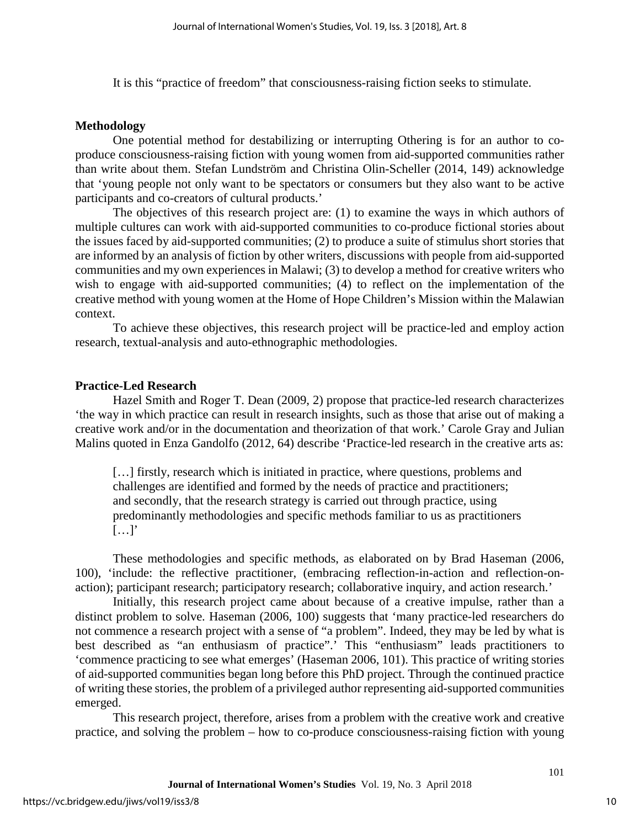It is this "practice of freedom" that consciousness-raising fiction seeks to stimulate.

#### **Methodology**

One potential method for destabilizing or interrupting Othering is for an author to coproduce consciousness-raising fiction with young women from aid-supported communities rather than write about them. Stefan Lundström and Christina Olin-Scheller (2014, 149) acknowledge that 'young people not only want to be spectators or consumers but they also want to be active participants and co-creators of cultural products.'

The objectives of this research project are: (1) to examine the ways in which authors of multiple cultures can work with aid-supported communities to co-produce fictional stories about the issues faced by aid-supported communities; (2) to produce a suite of stimulus short stories that are informed by an analysis of fiction by other writers, discussions with people from aid-supported communities and my own experiences in Malawi; (3) to develop a method for creative writers who wish to engage with aid-supported communities; (4) to reflect on the implementation of the creative method with young women at the Home of Hope Children's Mission within the Malawian context.

To achieve these objectives, this research project will be practice-led and employ action research, textual-analysis and auto-ethnographic methodologies.

### **Practice-Led Research**

Hazel Smith and Roger T. Dean (2009, 2) propose that practice-led research characterizes 'the way in which practice can result in research insights, such as those that arise out of making a creative work and/or in the documentation and theorization of that work.' Carole Gray and Julian Malins quoted in Enza Gandolfo (2012, 64) describe 'Practice-led research in the creative arts as:

[...] firstly, research which is initiated in practice, where questions, problems and challenges are identified and formed by the needs of practice and practitioners; and secondly, that the research strategy is carried out through practice, using predominantly methodologies and specific methods familiar to us as practitioners  $[...]$ 

These methodologies and specific methods, as elaborated on by Brad Haseman (2006, 100), 'include: the reflective practitioner, (embracing reflection-in-action and reflection-onaction); participant research; participatory research; collaborative inquiry, and action research.'

Initially, this research project came about because of a creative impulse, rather than a distinct problem to solve. Haseman (2006, 100) suggests that 'many practice-led researchers do not commence a research project with a sense of "a problem". Indeed, they may be led by what is best described as "an enthusiasm of practice".' This "enthusiasm" leads practitioners to 'commence practicing to see what emerges' (Haseman 2006, 101). This practice of writing stories of aid-supported communities began long before this PhD project. Through the continued practice of writing these stories, the problem of a privileged author representing aid-supported communities emerged.

This research project, therefore, arises from a problem with the creative work and creative practice, and solving the problem – how to co-produce consciousness-raising fiction with young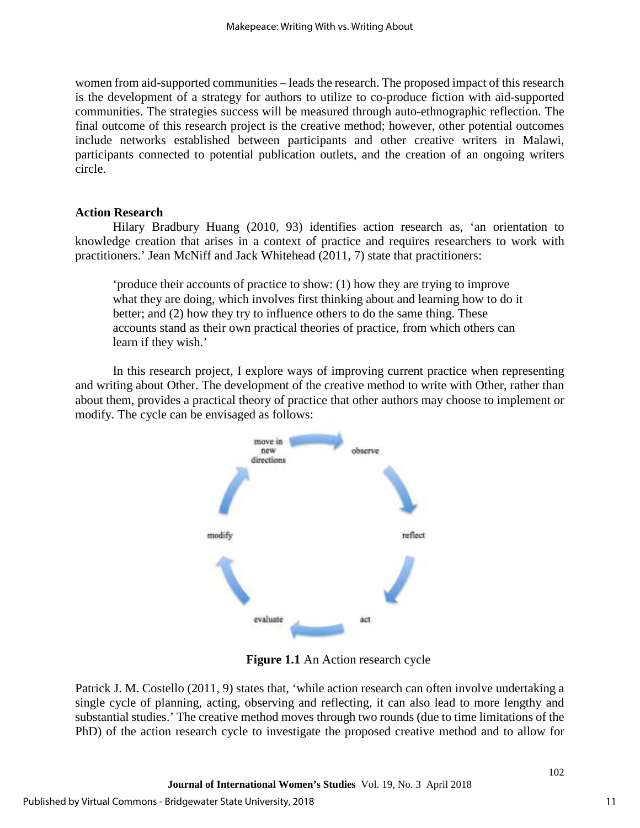women from aid-supported communities – leads the research. The proposed impact of this research is the development of a strategy for authors to utilize to co-produce fiction with aid-supported communities. The strategies success will be measured through auto-ethnographic reflection. The final outcome of this research project is the creative method; however, other potential outcomes include networks established between participants and other creative writers in Malawi, participants connected to potential publication outlets, and the creation of an ongoing writers circle.

## **Action Research**

Hilary Bradbury Huang (2010, 93) identifies action research as, 'an orientation to knowledge creation that arises in a context of practice and requires researchers to work with practitioners.' Jean McNiff and Jack Whitehead (2011, 7) state that practitioners:

'produce their accounts of practice to show: (1) how they are trying to improve what they are doing, which involves first thinking about and learning how to do it better; and (2) how they try to influence others to do the same thing. These accounts stand as their own practical theories of practice, from which others can learn if they wish.'

In this research project, I explore ways of improving current practice when representing and writing about Other. The development of the creative method to write with Other, rather than about them, provides a practical theory of practice that other authors may choose to implement or modify. The cycle can be envisaged as follows:



**Figure 1.1** An Action research cycle

Patrick J. M. Costello (2011, 9) states that, 'while action research can often involve undertaking a single cycle of planning, acting, observing and reflecting, it can also lead to more lengthy and substantial studies.' The creative method moves through two rounds (due to time limitations of the PhD) of the action research cycle to investigate the proposed creative method and to allow for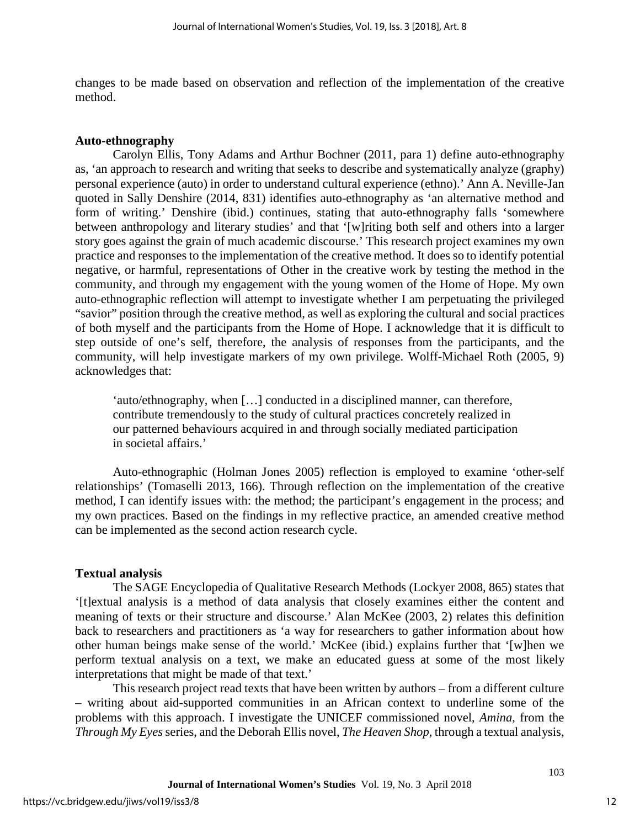changes to be made based on observation and reflection of the implementation of the creative method.

## **Auto-ethnography**

Carolyn Ellis, Tony Adams and Arthur Bochner (2011, para 1) define auto-ethnography as, 'an approach to research and writing that seeks to describe and systematically analyze (graphy) personal experience (auto) in order to understand cultural experience (ethno).' Ann A. Neville-Jan quoted in Sally Denshire (2014, 831) identifies auto-ethnography as 'an alternative method and form of writing.' Denshire (ibid.) continues, stating that auto-ethnography falls 'somewhere between anthropology and literary studies' and that '[w]riting both self and others into a larger story goes against the grain of much academic discourse.' This research project examines my own practice and responses to the implementation of the creative method. It does so to identify potential negative, or harmful, representations of Other in the creative work by testing the method in the community, and through my engagement with the young women of the Home of Hope. My own auto-ethnographic reflection will attempt to investigate whether I am perpetuating the privileged "savior" position through the creative method, as well as exploring the cultural and social practices of both myself and the participants from the Home of Hope. I acknowledge that it is difficult to step outside of one's self, therefore, the analysis of responses from the participants, and the community, will help investigate markers of my own privilege. Wolff-Michael Roth (2005, 9) acknowledges that:

'auto/ethnography, when […] conducted in a disciplined manner, can therefore, contribute tremendously to the study of cultural practices concretely realized in our patterned behaviours acquired in and through socially mediated participation in societal affairs.'

Auto-ethnographic (Holman Jones 2005) reflection is employed to examine 'other-self relationships' (Tomaselli 2013, 166). Through reflection on the implementation of the creative method, I can identify issues with: the method; the participant's engagement in the process; and my own practices. Based on the findings in my reflective practice, an amended creative method can be implemented as the second action research cycle.

## **Textual analysis**

The SAGE Encyclopedia of Qualitative Research Methods (Lockyer 2008, 865) states that '[t]extual analysis is a method of data analysis that closely examines either the content and meaning of texts or their structure and discourse.' Alan McKee (2003, 2) relates this definition back to researchers and practitioners as 'a way for researchers to gather information about how other human beings make sense of the world.' McKee (ibid.) explains further that '[w]hen we perform textual analysis on a text, we make an educated guess at some of the most likely interpretations that might be made of that text.'

This research project read texts that have been written by authors – from a different culture – writing about aid-supported communities in an African context to underline some of the problems with this approach. I investigate the UNICEF commissioned novel, *Amina*, from the *Through My Eyes* series, and the Deborah Ellis novel, *The Heaven Shop*, through a textual analysis,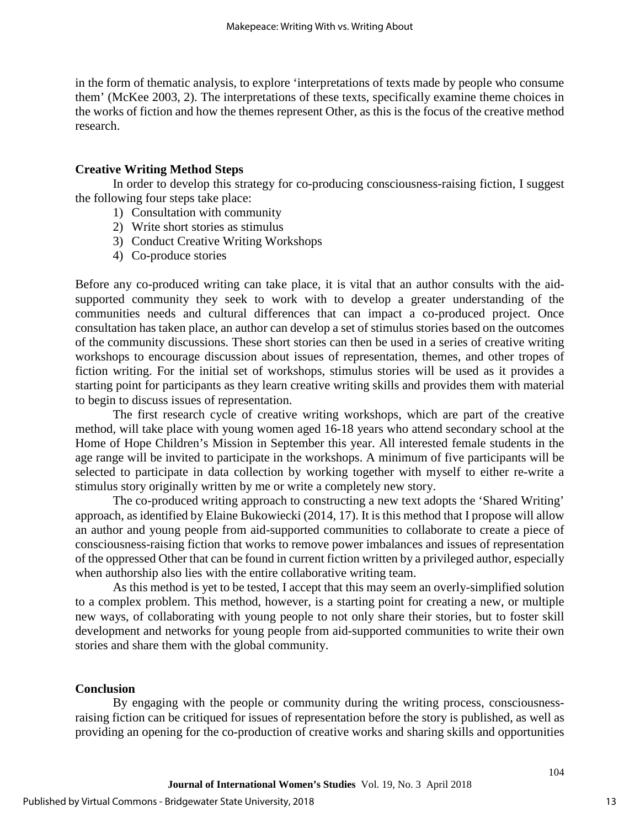in the form of thematic analysis, to explore 'interpretations of texts made by people who consume them' (McKee 2003, 2). The interpretations of these texts, specifically examine theme choices in the works of fiction and how the themes represent Other, as this is the focus of the creative method research.

## **Creative Writing Method Steps**

In order to develop this strategy for co-producing consciousness-raising fiction, I suggest the following four steps take place:

- 1) Consultation with community
- 2) Write short stories as stimulus
- 3) Conduct Creative Writing Workshops
- 4) Co-produce stories

Before any co-produced writing can take place, it is vital that an author consults with the aidsupported community they seek to work with to develop a greater understanding of the communities needs and cultural differences that can impact a co-produced project. Once consultation has taken place, an author can develop a set of stimulus stories based on the outcomes of the community discussions. These short stories can then be used in a series of creative writing workshops to encourage discussion about issues of representation, themes, and other tropes of fiction writing. For the initial set of workshops, stimulus stories will be used as it provides a starting point for participants as they learn creative writing skills and provides them with material to begin to discuss issues of representation.

The first research cycle of creative writing workshops, which are part of the creative method, will take place with young women aged 16-18 years who attend secondary school at the Home of Hope Children's Mission in September this year. All interested female students in the age range will be invited to participate in the workshops. A minimum of five participants will be selected to participate in data collection by working together with myself to either re-write a stimulus story originally written by me or write a completely new story.

The co-produced writing approach to constructing a new text adopts the 'Shared Writing' approach, as identified by Elaine Bukowiecki (2014, 17). It is this method that I propose will allow an author and young people from aid-supported communities to collaborate to create a piece of consciousness-raising fiction that works to remove power imbalances and issues of representation of the oppressed Other that can be found in current fiction written by a privileged author, especially when authorship also lies with the entire collaborative writing team.

As this method is yet to be tested, I accept that this may seem an overly-simplified solution to a complex problem. This method, however, is a starting point for creating a new, or multiple new ways, of collaborating with young people to not only share their stories, but to foster skill development and networks for young people from aid-supported communities to write their own stories and share them with the global community.

## **Conclusion**

By engaging with the people or community during the writing process, consciousnessraising fiction can be critiqued for issues of representation before the story is published, as well as providing an opening for the co-production of creative works and sharing skills and opportunities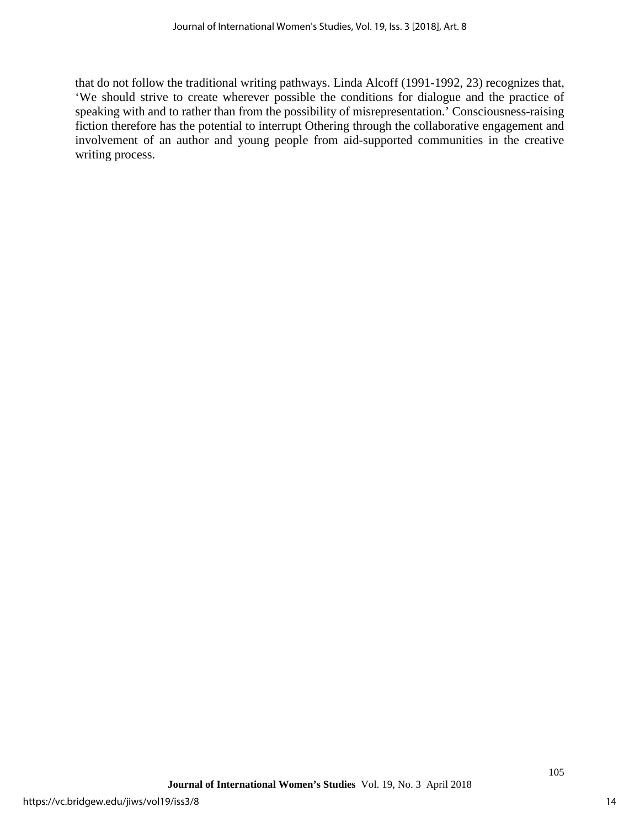that do not follow the traditional writing pathways. Linda Alcoff (1991-1992, 23) recognizes that, 'We should strive to create wherever possible the conditions for dialogue and the practice of speaking with and to rather than from the possibility of misrepresentation.' Consciousness-raising fiction therefore has the potential to interrupt Othering through the collaborative engagement and involvement of an author and young people from aid-supported communities in the creative writing process.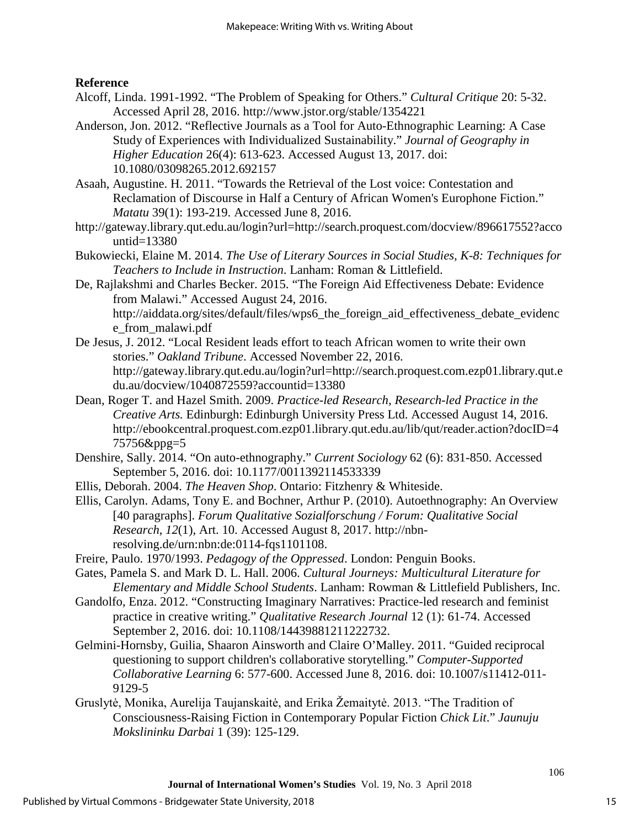## **Reference**

- Alcoff, Linda. 1991-1992. "The Problem of Speaking for Others." *Cultural Critique* 20: 5-32. Accessed April 28, 2016. http://www.jstor.org/stable/1354221
- Anderson, Jon. 2012. "Reflective Journals as a Tool for Auto-Ethnographic Learning: A Case Study of Experiences with Individualized Sustainability." *Journal of Geography in Higher Education* 26(4): 613-623. Accessed August 13, 2017. doi: 10.1080/03098265.2012.692157
- Asaah, Augustine. H. 2011. "Towards the Retrieval of the Lost voice: Contestation and Reclamation of Discourse in Half a Century of African Women's Europhone Fiction." *Matatu* 39(1): 193-219. Accessed June 8, 2016.
- http://gateway.library.qut.edu.au/login?url=http://search.proquest.com/docview/896617552?acco untid=13380
- Bukowiecki, Elaine M. 2014. *The Use of Literary Sources in Social Studies, K-8: Techniques for Teachers to Include in Instruction*. Lanham: Roman & Littlefield.
- De, Rajlakshmi and Charles Becker. 2015. "The Foreign Aid Effectiveness Debate: Evidence from Malawi." Accessed August 24, 2016. http://aiddata.org/sites/default/files/wps6\_the\_foreign\_aid\_effectiveness\_debate\_evidenc e\_from\_malawi.pdf
- De Jesus, J. 2012. "Local Resident leads effort to teach African women to write their own stories." *Oakland Tribune*. Accessed November 22, 2016. http://gateway.library.qut.edu.au/login?url=http://search.proquest.com.ezp01.library.qut.e du.au/docview/1040872559?accountid=13380
- Dean, Roger T. and Hazel Smith. 2009. *Practice-led Research, Research-led Practice in the Creative Arts.* Edinburgh: Edinburgh University Press Ltd. Accessed August 14, 2016. http://ebookcentral.proquest.com.ezp01.library.qut.edu.au/lib/qut/reader.action?docID=4 75756&ppg=5
- Denshire, Sally. 2014. "On auto-ethnography." *Current Sociology* 62 (6): 831-850. Accessed September 5, 2016. doi: 10.1177/0011392114533339
- Ellis, Deborah. 2004. *The Heaven Shop*. Ontario: Fitzhenry & Whiteside.
- Ellis, Carolyn. Adams, Tony E. and Bochner, Arthur P. (2010). Autoethnography: An Overview [40 paragraphs]. *Forum Qualitative Sozialforschung / Forum: Qualitative Social Research*, *12*(1), Art. 10. Accessed August 8, 2017. http://nbnresolving.de/urn:nbn:de:0114-fqs1101108.
- Freire, Paulo. 1970/1993. *Pedagogy of the Oppressed*. London: Penguin Books.
- Gates, Pamela S. and Mark D. L. Hall. 2006. *Cultural Journeys: Multicultural Literature for Elementary and Middle School Students*. Lanham: Rowman & Littlefield Publishers, Inc.
- Gandolfo, Enza. 2012. "Constructing Imaginary Narratives: Practice-led research and feminist practice in creative writing." *Qualitative Research Journal* 12 (1): 61-74. Accessed September 2, 2016. doi: 10.1108/14439881211222732.
- Gelmini-Hornsby, Guilia, Shaaron Ainsworth and Claire O'Malley. 2011. "Guided reciprocal questioning to support children's collaborative storytelling." *Computer-Supported Collaborative Learning* 6: 577-600. Accessed June 8, 2016. doi: 10.1007/s11412-011- 9129-5
- Gruslytė, Monika, Aurelija Taujanskaitė, and Erika Žemaitytė. 2013. "The Tradition of Consciousness-Raising Fiction in Contemporary Popular Fiction *Chick Lit*." *Jaunuju Mokslininku Darbai* 1 (39): 125-129.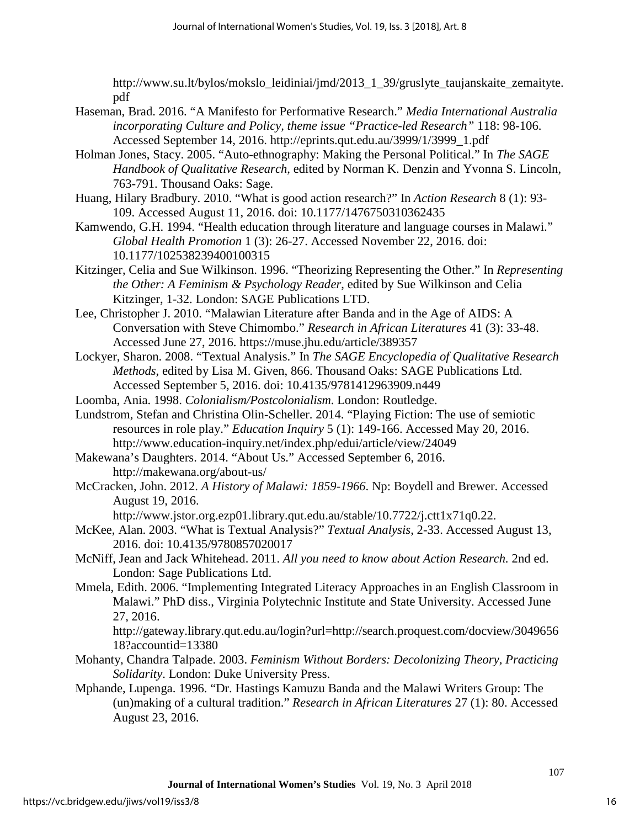http://www.su.lt/bylos/mokslo\_leidiniai/jmd/2013\_1\_39/gruslyte\_taujanskaite\_zemaityte. pdf

- Haseman, Brad. 2016. "A Manifesto for Performative Research." *Media International Australia incorporating Culture and Policy, theme issue "Practice-led Research"* 118: 98-106. Accessed September 14, 2016. http://eprints.qut.edu.au/3999/1/3999\_1.pdf
- [Holman Jones, Stacy. 2](http://www-tandfonline-com.ezp01.library.qut.edu.au/author/)005. "Auto-ethnography: Making the Personal Political." In *The SAGE Handbook of Qualitative Research*, edited by [Norman K. Denzin](http://www-tandfonline-com.ezp01.library.qut.edu.au/author/) and [Yvonna S. Lincoln,](http://www-tandfonline-com.ezp01.library.qut.edu.au/author/) 763-791. Thousand Oaks: Sage.
- Huang, Hilary Bradbury. 2010. "What is good action research?" In *Action Research* 8 (1): 93- 109. Accessed August 11, 2016. doi: 10.1177/1476750310362435
- Kamwendo, G.H. 1994. "Health education through literature and language courses in Malawi." *Global Health Promotion* 1 (3): 26-27. Accessed November 22, 2016. doi: 10.1177/102538239400100315
- Kitzinger, Celia and Sue Wilkinson. 1996. "Theorizing Representing the Other." In *Representing the Other: A Feminism & Psychology Reader*, edited by Sue Wilkinson and Celia Kitzinger, 1-32. London: SAGE Publications LTD.
- Lee, Christopher J. 2010. "Malawian Literature after Banda and in the Age of AIDS: A Conversation with Steve Chimombo." *Research in African Literatures* 41 (3): 33-48. Accessed June 27, 2016. https://muse.jhu.edu/article/389357
- Lockyer, Sharon. 2008. "Textual Analysis." In *The SAGE Encyclopedia of Qualitative Research Methods*, edited by Lisa M. Given, 866. Thousand Oaks: SAGE Publications Ltd. Accessed September 5, 2016. doi: 10.4135/9781412963909.n449
- Loomba, Ania. 1998. *Colonialism/Postcolonialism*. London: Routledge.
- Lundstrom, Stefan and Christina Olin-Scheller. 2014. "Playing Fiction: The use of semiotic resources in role play." *Education Inquiry* 5 (1): 149-166. Accessed May 20, 2016. <http://www.education-inquiry.net/index.php/edui/article/view/24049>
- Makewana's Daughters. 2014. "About Us." Accessed September 6, 2016. http://makewana.org/about-us/
- McCracken, John. 2012. *A History of Malawi: 1859-1966*. Np: Boydell and Brewer. Accessed August 19, 2016.

http://www.jstor.org.ezp01.library.qut.edu.au/stable/10.7722/j.ctt1x71q0.22.

- McKee, Alan. 2003. "What is Textual Analysis?" *Textual Analysis*, 2-33. Accessed August 13, 2016. doi: 10.4135/9780857020017
- McNiff, Jean and Jack Whitehead. 2011. *All you need to know about Action Research.* 2nd ed. London: Sage Publications Ltd.
- Mmela, Edith. 2006. "Implementing Integrated Literacy Approaches in an English Classroom in Malawi." PhD diss., Virginia Polytechnic Institute and State University. Accessed June 27, 2016.

http://gateway.library.qut.edu.au/login?url=http://search.proquest.com/docview/3049656 18?accountid=13380

- Mohanty, Chandra Talpade. 2003. *Feminism Without Borders: Decolonizing Theory, Practicing Solidarity*. London: Duke University Press.
- Mphande, Lupenga. 1996. "Dr. Hastings Kamuzu Banda and the Malawi Writers Group: The (un)making of a cultural tradition." *Research in African Literatures* 27 (1): 80. Accessed August 23, 2016.